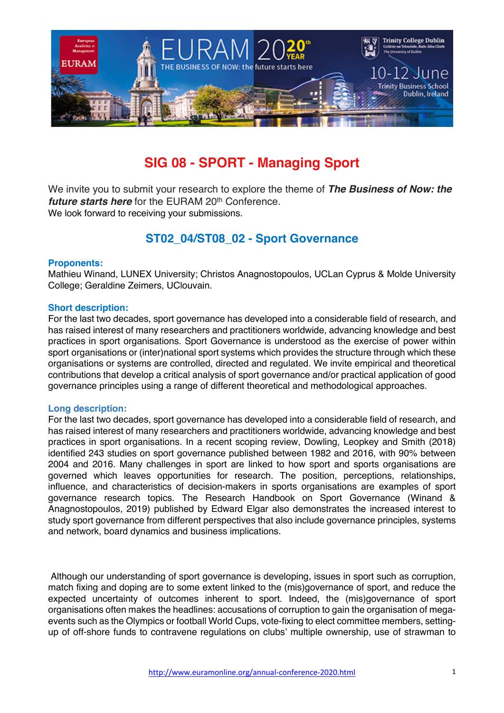

# **SIG 08 - SPORT - Managing Sport**

We invite you to submit your research to explore the theme of *The Business of Now: the future starts here* for the EURAM 20<sup>th</sup> Conference. We look forward to receiving your submissions.

# **ST02\_04/ST08\_02 - Sport Governance**

# **Proponents:**

Mathieu Winand, LUNEX University; Christos Anagnostopoulos, UCLan Cyprus & Molde University College; Geraldine Zeimers, UClouvain.

#### **Short description:**

For the last two decades, sport governance has developed into a considerable field of research, and has raised interest of many researchers and practitioners worldwide, advancing knowledge and best practices in sport organisations. Sport Governance is understood as the exercise of power within sport organisations or (inter)national sport systems which provides the structure through which these organisations or systems are controlled, directed and regulated. We invite empirical and theoretical contributions that develop a critical analysis of sport governance and/or practical application of good governance principles using a range of different theoretical and methodological approaches.

#### **Long description:**

For the last two decades, sport governance has developed into a considerable field of research, and has raised interest of many researchers and practitioners worldwide, advancing knowledge and best practices in sport organisations. In a recent scoping review, Dowling, Leopkey and Smith (2018) identified 243 studies on sport governance published between 1982 and 2016, with 90% between 2004 and 2016. Many challenges in sport are linked to how sport and sports organisations are governed which leaves opportunities for research. The position, perceptions, relationships, influence, and characteristics of decision-makers in sports organisations are examples of sport governance research topics. The Research Handbook on Sport Governance (Winand & Anagnostopoulos, 2019) published by Edward Elgar also demonstrates the increased interest to study sport governance from different perspectives that also include governance principles, systems and network, board dynamics and business implications.

Although our understanding of sport governance is developing, issues in sport such as corruption, match fixing and doping are to some extent linked to the (mis)governance of sport, and reduce the expected uncertainty of outcomes inherent to sport. Indeed, the (mis)governance of sport organisations often makes the headlines: accusations of corruption to gain the organisation of megaevents such as the Olympics or football World Cups, vote-fixing to elect committee members, settingup of off-shore funds to contravene regulations on clubs' multiple ownership, use of strawman to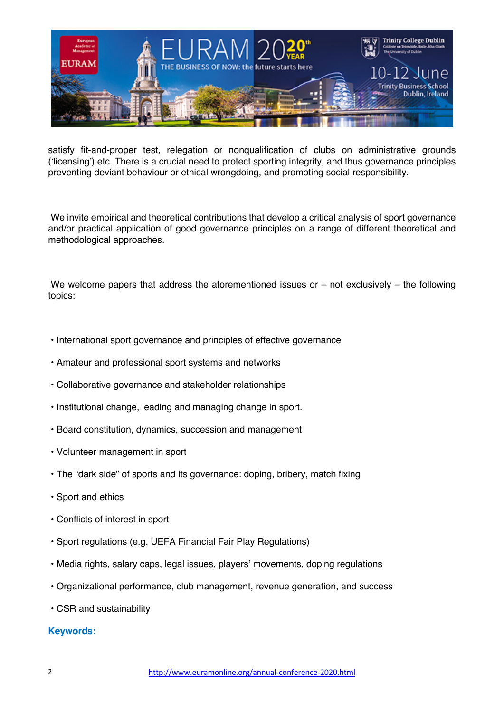

satisfy fit-and-proper test, relegation or nonqualification of clubs on administrative grounds ('licensing') etc. There is a crucial need to protect sporting integrity, and thus governance principles preventing deviant behaviour or ethical wrongdoing, and promoting social responsibility.

We invite empirical and theoretical contributions that develop a critical analysis of sport governance and/or practical application of good governance principles on a range of different theoretical and methodological approaches.

We welcome papers that address the aforementioned issues or  $-$  not exclusively  $-$  the following topics:

- International sport governance and principles of effective governance
- Amateur and professional sport systems and networks
- Collaborative governance and stakeholder relationships
- Institutional change, leading and managing change in sport.
- Board constitution, dynamics, succession and management
- Volunteer management in sport
- The "dark side" of sports and its governance: doping, bribery, match fixing
- Sport and ethics
- Conflicts of interest in sport
- Sport regulations (e.g. UEFA Financial Fair Play Regulations)
- Media rights, salary caps, legal issues, players' movements, doping regulations
- Organizational performance, club management, revenue generation, and success
- CSR and sustainability

# **Keywords:**